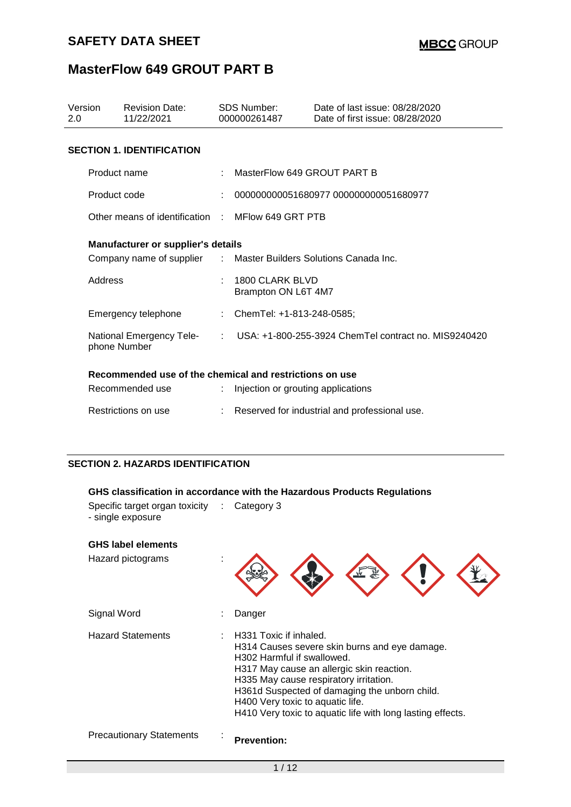| Version<br>2.0 | <b>Revision Date:</b><br>11/22/2021                              | SDS Number:<br>000000261487            | Date of last issue: 08/28/2020<br>Date of first issue: 08/28/2020 |
|----------------|------------------------------------------------------------------|----------------------------------------|-------------------------------------------------------------------|
|                | <b>SECTION 1. IDENTIFICATION</b>                                 |                                        |                                                                   |
|                | Product name                                                     | MasterFlow 649 GROUT PART B            |                                                                   |
|                | Product code                                                     |                                        | 000000000051680977 000000000051680977                             |
|                | Other means of identification : MElow 649 GRT PTB                |                                        |                                                                   |
|                | <b>Manufacturer or supplier's details</b>                        |                                        |                                                                   |
|                | Company name of supplier : Master Builders Solutions Canada Inc. |                                        |                                                                   |
| Address        |                                                                  | 1800 CLARK BLVD<br>Brampton ON L6T 4M7 |                                                                   |
|                | Emergency telephone                                              | : ChemTel: +1-813-248-0585;            |                                                                   |
|                | National Emergency Tele-<br>phone Number                         |                                        | : USA: +1-800-255-3924 ChemTel contract no. MIS9240420            |
|                | Recommended use of the chemical and restrictions on use          |                                        |                                                                   |
|                | Recommended use                                                  | : Injection or grouting applications   |                                                                   |
|                | Restrictions on use                                              |                                        | Reserved for industrial and professional use.                     |

### **SECTION 2. HAZARDS IDENTIFICATION**

### **GHS classification in accordance with the Hazardous Products Regulations**

| Specific target organ toxicity : Category 3<br>- single exposure |  |  |
|------------------------------------------------------------------|--|--|
|                                                                  |  |  |

| <b>GHS label elements</b><br>Hazard pictograms |                                                                                                                                                                                                                                                                                                                                                 |
|------------------------------------------------|-------------------------------------------------------------------------------------------------------------------------------------------------------------------------------------------------------------------------------------------------------------------------------------------------------------------------------------------------|
| Signal Word                                    | Danger                                                                                                                                                                                                                                                                                                                                          |
| <b>Hazard Statements</b>                       | H331 Toxic if inhaled.<br>H314 Causes severe skin burns and eye damage.<br>H302 Harmful if swallowed.<br>H317 May cause an allergic skin reaction.<br>H335 May cause respiratory irritation.<br>H361d Suspected of damaging the unborn child.<br>H400 Very toxic to aquatic life.<br>H410 Very toxic to aquatic life with long lasting effects. |
| <b>Precautionary Statements</b>                | <b>Prevention:</b>                                                                                                                                                                                                                                                                                                                              |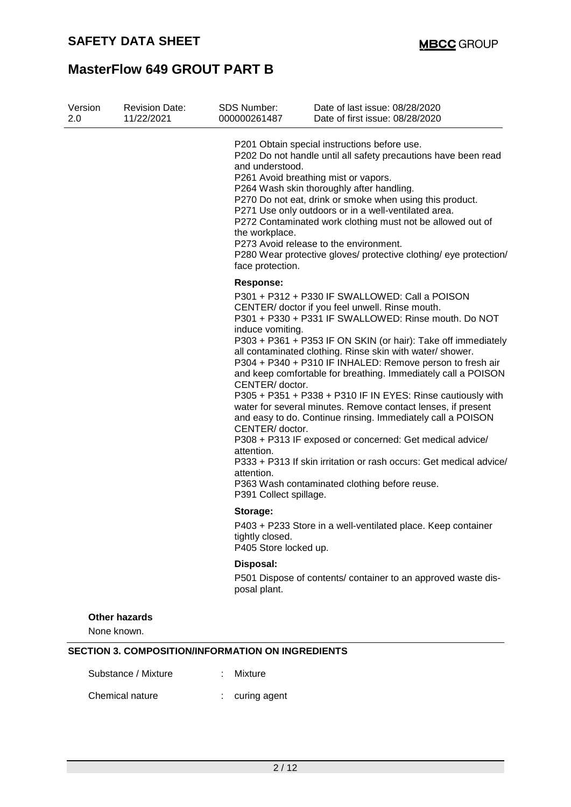| Version<br>2.0 | <b>Revision Date:</b><br>11/22/2021 | <b>SDS Number:</b><br>000000261487                                                                                             | Date of last issue: 08/28/2020<br>Date of first issue: 08/28/2020                                                                                                                                                                                                                                                                                                                                                                                                                                                                                                                                                                                                                                                                                                                                      |
|----------------|-------------------------------------|--------------------------------------------------------------------------------------------------------------------------------|--------------------------------------------------------------------------------------------------------------------------------------------------------------------------------------------------------------------------------------------------------------------------------------------------------------------------------------------------------------------------------------------------------------------------------------------------------------------------------------------------------------------------------------------------------------------------------------------------------------------------------------------------------------------------------------------------------------------------------------------------------------------------------------------------------|
|                |                                     | and understood.<br>the workplace.<br>face protection.                                                                          | P201 Obtain special instructions before use.<br>P202 Do not handle until all safety precautions have been read<br>P261 Avoid breathing mist or vapors.<br>P264 Wash skin thoroughly after handling.<br>P270 Do not eat, drink or smoke when using this product.<br>P271 Use only outdoors or in a well-ventilated area.<br>P272 Contaminated work clothing must not be allowed out of<br>P273 Avoid release to the environment.<br>P280 Wear protective gloves/ protective clothing/ eye protection/                                                                                                                                                                                                                                                                                                   |
|                |                                     | <b>Response:</b><br>induce vomiting.<br>CENTER/doctor.<br>CENTER/doctor.<br>attention.<br>attention.<br>P391 Collect spillage. | P301 + P312 + P330 IF SWALLOWED: Call a POISON<br>CENTER/ doctor if you feel unwell. Rinse mouth.<br>P301 + P330 + P331 IF SWALLOWED: Rinse mouth. Do NOT<br>P303 + P361 + P353 IF ON SKIN (or hair): Take off immediately<br>all contaminated clothing. Rinse skin with water/ shower.<br>P304 + P340 + P310 IF INHALED: Remove person to fresh air<br>and keep comfortable for breathing. Immediately call a POISON<br>P305 + P351 + P338 + P310 IF IN EYES: Rinse cautiously with<br>water for several minutes. Remove contact lenses, if present<br>and easy to do. Continue rinsing. Immediately call a POISON<br>P308 + P313 IF exposed or concerned: Get medical advice/<br>P333 + P313 If skin irritation or rash occurs: Get medical advice/<br>P363 Wash contaminated clothing before reuse. |
|                |                                     | Storage:<br>tightly closed.<br>P405 Store locked up.                                                                           | P403 + P233 Store in a well-ventilated place. Keep container                                                                                                                                                                                                                                                                                                                                                                                                                                                                                                                                                                                                                                                                                                                                           |
|                |                                     | Disposal:<br>posal plant.                                                                                                      | P501 Dispose of contents/ container to an approved waste dis-                                                                                                                                                                                                                                                                                                                                                                                                                                                                                                                                                                                                                                                                                                                                          |
| None known.    | <b>Other hazards</b>                |                                                                                                                                |                                                                                                                                                                                                                                                                                                                                                                                                                                                                                                                                                                                                                                                                                                                                                                                                        |

Substance / Mixture : Mixture

Chemical nature : curing agent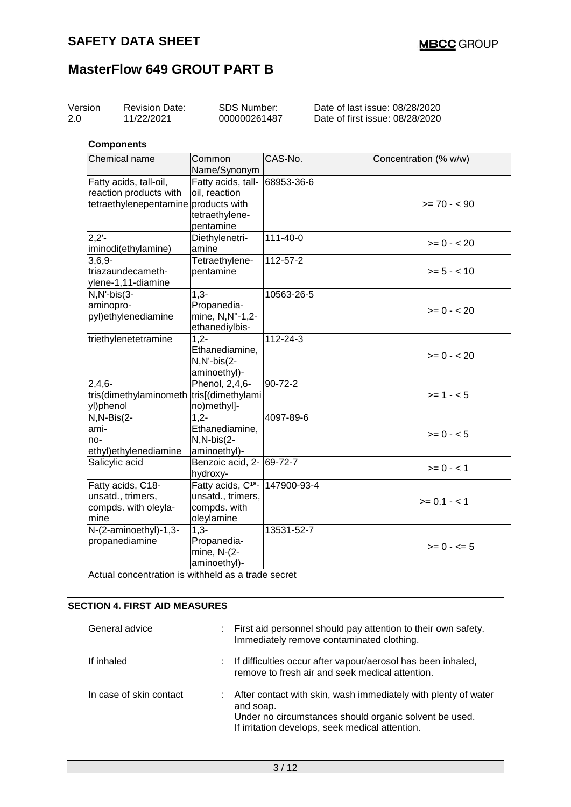| Version<br><b>Revision Date:</b><br>11/22/2021                                           | SDS Number:<br>000000261487                                                                  |                | Date of last issue: 08/28/2020<br>Date of first issue: 08/28/2020 |
|------------------------------------------------------------------------------------------|----------------------------------------------------------------------------------------------|----------------|-------------------------------------------------------------------|
| <b>Components</b>                                                                        |                                                                                              |                |                                                                   |
| Chemical name                                                                            | Common<br>Name/Synonym                                                                       | CAS-No.        | Concentration (% w/w)                                             |
| Fatty acids, tall-oil,<br>reaction products with<br>tetraethylenepentamine products with | Fatty acids, tall-<br>oil, reaction<br>tetraethylene-<br>pentamine                           | 68953-36-6     | $>= 70 - 90$                                                      |
| $2.2 -$<br>iminodi(ethylamine)                                                           | Diethylenetri-<br>amine                                                                      | $111 - 40 - 0$ | $>= 0 - 20$                                                       |
| $3,6,9-$<br>triazaundecameth-<br>ylene-1,11-diamine                                      | Tetraethylene-<br>pentamine                                                                  | $112 - 57 - 2$ | $>= 5 - < 10$                                                     |
| $N, N'-bis(3-$<br>aminopro-<br>pyl)ethylenediamine                                       | $1,3-$<br>Propanedia-<br>mine, N,N"-1,2-<br>ethanediylbis-                                   | 10563-26-5     | $>= 0 - 20$                                                       |
| triethylenetetramine                                                                     | $1,2-$<br>Ethanediamine,<br>N,N'-bis(2-<br>aminoethyl)-                                      | 112-24-3       | $>= 0 - 20$                                                       |
| $2,4,6-$<br>tris(dimethylaminometh<br>yl)phenol                                          | Phenol, 2,4,6-<br>tris[(dimethylami<br>no)methyl]-                                           | $90 - 72 - 2$  | $>= 1 - 5$                                                        |
| $N, N-Bis(2-$<br>ami-<br>no-<br>ethyl)ethylenediamine                                    | $1,2-$<br>Ethanediamine,<br>N,N-bis(2-<br>aminoethyl)-                                       | 4097-89-6      | $>= 0 - 5$                                                        |
| Salicylic acid                                                                           | Benzoic acid, 2- 69-72-7<br>hydroxy-                                                         |                | $>= 0 - 1$                                                        |
| Fatty acids, C18-<br>unsatd., trimers,<br>compds. with oleyla-<br>mine                   | Fatty acids, C <sup>18</sup> -147900-93-4<br>unsatd., trimers,<br>compds. with<br>oleylamine |                | $>= 0.1 - 1$                                                      |
| N-(2-aminoethyl)-1,3-<br>propanediamine                                                  | $1,3-$<br>Propanedia-<br>mine, N-(2-<br>aminoethyl)-                                         | 13531-52-7     | $>= 0 - 5$                                                        |

Actual concentration is withheld as a trade secret

### **SECTION 4. FIRST AID MEASURES**

| General advice          | ÷. | First aid personnel should pay attention to their own safety.<br>Immediately remove contaminated clothing.                                                                                 |
|-------------------------|----|--------------------------------------------------------------------------------------------------------------------------------------------------------------------------------------------|
| If inhaled              |    | : If difficulties occur after vapour/aerosol has been inhaled,<br>remove to fresh air and seek medical attention.                                                                          |
| In case of skin contact |    | : After contact with skin, wash immediately with plenty of water<br>and soap.<br>Under no circumstances should organic solvent be used.<br>If irritation develops, seek medical attention. |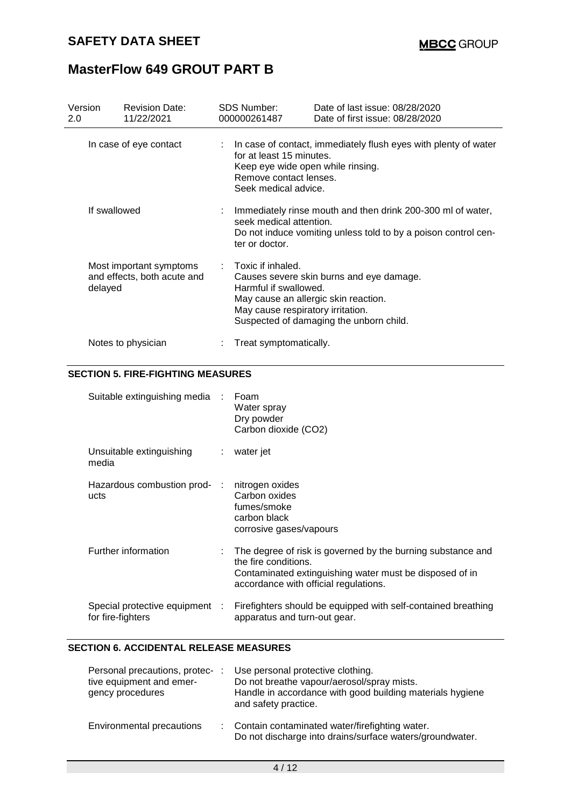| Version<br>2.0 | <b>Revision Date:</b><br>11/22/2021                    | <b>SDS Number:</b><br>000000261487                                                                                      | Date of last issue: 08/28/2020<br>Date of first issue: 08/28/2020                                                             |
|----------------|--------------------------------------------------------|-------------------------------------------------------------------------------------------------------------------------|-------------------------------------------------------------------------------------------------------------------------------|
|                | In case of eye contact                                 | for at least 15 minutes.<br>Keep eye wide open while rinsing.<br>Remove contact lenses.<br>Seek medical advice.         | : In case of contact, immediately flush eyes with plenty of water                                                             |
| If swallowed   |                                                        | seek medical attention.<br>ter or doctor.                                                                               | Immediately rinse mouth and then drink 200-300 ml of water,<br>Do not induce vomiting unless told to by a poison control cen- |
| delayed        | Most important symptoms<br>and effects, both acute and | Toxic if inhaled.<br>Harmful if swallowed.<br>May cause an allergic skin reaction.<br>May cause respiratory irritation. | Causes severe skin burns and eye damage.<br>Suspected of damaging the unborn child.                                           |
|                | Notes to physician                                     | Treat symptomatically.                                                                                                  |                                                                                                                               |

#### **SECTION 5. FIRE-FIGHTING MEASURES**

| Suitable extinguishing media :                      | Foam<br>Water spray<br>Dry powder<br>Carbon dioxide (CO2)                                                                                                                               |
|-----------------------------------------------------|-----------------------------------------------------------------------------------------------------------------------------------------------------------------------------------------|
| Unsuitable extinguishing<br>media                   | $:$ water jet                                                                                                                                                                           |
| Hazardous combustion prod- :<br>ucts                | nitrogen oxides<br>Carbon oxides<br>fumes/smoke<br>carbon black<br>corrosive gases/vapours                                                                                              |
| Further information                                 | The degree of risk is governed by the burning substance and<br>the fire conditions.<br>Contaminated extinguishing water must be disposed of in<br>accordance with official regulations. |
| Special protective equipment :<br>for fire-fighters | Firefighters should be equipped with self-contained breathing<br>apparatus and turn-out gear.                                                                                           |

#### **SECTION 6. ACCIDENTAL RELEASE MEASURES**

| Personal precautions, protec-<br>tive equipment and emer-<br>gency procedures | Use personal protective clothing.<br>Do not breathe vapour/aerosol/spray mists.<br>Handle in accordance with good building materials hygiene<br>and safety practice. |
|-------------------------------------------------------------------------------|----------------------------------------------------------------------------------------------------------------------------------------------------------------------|
| Environmental precautions                                                     | : Contain contaminated water/firefighting water.<br>Do not discharge into drains/surface waters/groundwater.                                                         |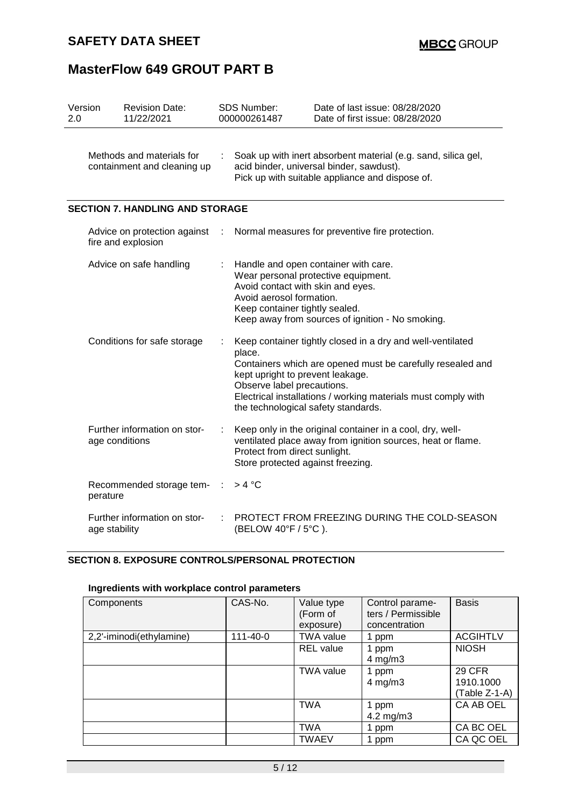| Version<br>2.0 |                | <b>Revision Date:</b><br>11/22/2021                      | <b>SDS Number:</b><br>000000261487                                                                                                                           | Date of last issue: 08/28/2020<br>Date of first issue: 08/28/2020                                                                                                                         |  |  |
|----------------|----------------|----------------------------------------------------------|--------------------------------------------------------------------------------------------------------------------------------------------------------------|-------------------------------------------------------------------------------------------------------------------------------------------------------------------------------------------|--|--|
|                |                | Methods and materials for<br>containment and cleaning up | Soak up with inert absorbent material (e.g. sand, silica gel,<br>acid binder, universal binder, sawdust).<br>Pick up with suitable appliance and dispose of. |                                                                                                                                                                                           |  |  |
|                |                | <b>SECTION 7. HANDLING AND STORAGE</b>                   |                                                                                                                                                              |                                                                                                                                                                                           |  |  |
|                |                | Advice on protection against<br>fire and explosion       |                                                                                                                                                              | Normal measures for preventive fire protection.                                                                                                                                           |  |  |
|                |                | Advice on safe handling                                  | Avoid contact with skin and eyes.<br>Avoid aerosol formation.<br>Keep container tightly sealed.                                                              | Handle and open container with care.<br>Wear personal protective equipment.<br>Keep away from sources of ignition - No smoking.                                                           |  |  |
|                |                | Conditions for safe storage                              | place.<br>kept upright to prevent leakage.<br>Observe label precautions.<br>the technological safety standards.                                              | Keep container tightly closed in a dry and well-ventilated<br>Containers which are opened must be carefully resealed and<br>Electrical installations / working materials must comply with |  |  |
|                | age conditions | Further information on stor-                             | Protect from direct sunlight.<br>Store protected against freezing.                                                                                           | Keep only in the original container in a cool, dry, well-<br>ventilated place away from ignition sources, heat or flame.                                                                  |  |  |
|                | perature       | Recommended storage tem-                                 | >4 °C                                                                                                                                                        |                                                                                                                                                                                           |  |  |
|                | age stability  | Further information on stor-                             | (BELOW 40°F / 5°C).                                                                                                                                          | PROTECT FROM FREEZING DURING THE COLD-SEASON                                                                                                                                              |  |  |

### **SECTION 8. EXPOSURE CONTROLS/PERSONAL PROTECTION**

### **Ingredients with workplace control parameters**

| Components               | CAS-No.  | Value type<br>(Form of | Control parame-<br>ters / Permissible | <b>Basis</b>                         |
|--------------------------|----------|------------------------|---------------------------------------|--------------------------------------|
|                          |          | exposure)              | concentration                         |                                      |
| 2,2'-iminodi(ethylamine) | 111-40-0 | <b>TWA value</b>       | 1 ppm                                 | <b>ACGIHTLV</b>                      |
|                          |          | <b>REL</b> value       | 1 ppm<br>$4$ mg/m $3$                 | <b>NIOSH</b>                         |
|                          |          | <b>TWA value</b>       | 1 ppm<br>$4$ mg/m $3$                 | 29 CFR<br>1910.1000<br>(Table Z-1-A) |
|                          |          | <b>TWA</b>             | 1 ppm<br>4.2 mg/m $3$                 | CA AB OEL                            |
|                          |          | <b>TWA</b>             | 1 ppm                                 | CA BC OEL                            |
|                          |          | <b>TWAEV</b>           | 1 ppm                                 | CA QC OEL                            |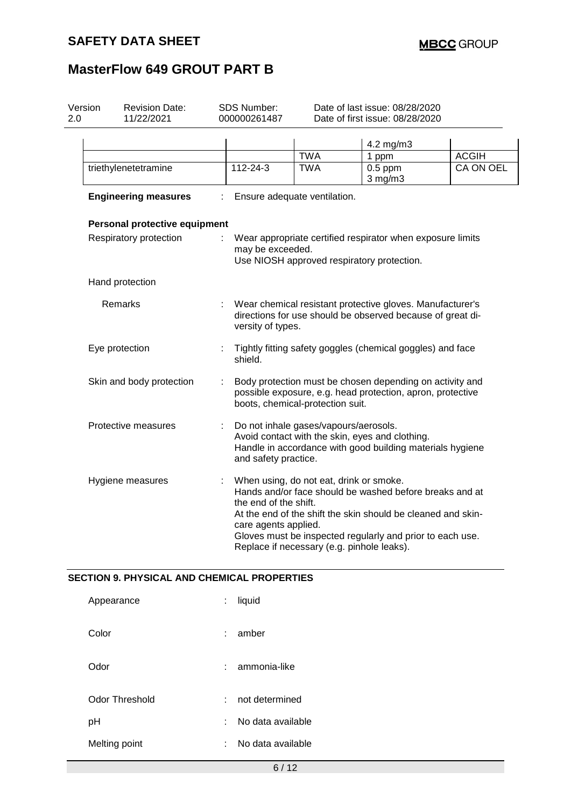| Version<br>2.0 | <b>Revision Date:</b><br>11/22/2021 |                                                                                                                                                            | <b>SDS Number:</b><br>000000261487            | Date of last issue: 08/28/2020<br>Date of first issue: 08/28/2020                     |                                                                                                                                                                                      |              |
|----------------|-------------------------------------|------------------------------------------------------------------------------------------------------------------------------------------------------------|-----------------------------------------------|---------------------------------------------------------------------------------------|--------------------------------------------------------------------------------------------------------------------------------------------------------------------------------------|--------------|
|                |                                     |                                                                                                                                                            |                                               | <b>TWA</b>                                                                            | 4.2 mg/m3<br>1 ppm                                                                                                                                                                   | <b>ACGIH</b> |
|                | triethylenetetramine                |                                                                                                                                                            | 112-24-3                                      | <b>TWA</b>                                                                            | $0.5$ ppm<br>$3$ mg/m $3$                                                                                                                                                            | CA ON OEL    |
|                | <b>Engineering measures</b>         |                                                                                                                                                            |                                               | Ensure adequate ventilation.                                                          |                                                                                                                                                                                      |              |
|                | Personal protective equipment       |                                                                                                                                                            |                                               |                                                                                       |                                                                                                                                                                                      |              |
|                | Respiratory protection              |                                                                                                                                                            | may be exceeded.                              | Use NIOSH approved respiratory protection.                                            | Wear appropriate certified respirator when exposure limits                                                                                                                           |              |
|                | Hand protection                     |                                                                                                                                                            |                                               |                                                                                       |                                                                                                                                                                                      |              |
|                | Remarks                             |                                                                                                                                                            | versity of types.                             |                                                                                       | Wear chemical resistant protective gloves. Manufacturer's<br>directions for use should be observed because of great di-                                                              |              |
|                | Eye protection                      | Tightly fitting safety goggles (chemical goggles) and face<br>shield.                                                                                      |                                               |                                                                                       |                                                                                                                                                                                      |              |
|                | Skin and body protection            | Body protection must be chosen depending on activity and<br>possible exposure, e.g. head protection, apron, protective<br>boots, chemical-protection suit. |                                               |                                                                                       |                                                                                                                                                                                      |              |
|                | Protective measures                 | ÷                                                                                                                                                          | and safety practice.                          | Do not inhale gases/vapours/aerosols.                                                 | Avoid contact with the skin, eyes and clothing.<br>Handle in accordance with good building materials hygiene                                                                         |              |
|                | Hygiene measures                    | t,                                                                                                                                                         | the end of the shift.<br>care agents applied. | When using, do not eat, drink or smoke.<br>Replace if necessary (e.g. pinhole leaks). | Hands and/or face should be washed before breaks and at<br>At the end of the shift the skin should be cleaned and skin-<br>Gloves must be inspected regularly and prior to each use. |              |

### **SECTION 9. PHYSICAL AND CHEMICAL PROPERTIES**

| Appearance     | liquid<br>÷            |  |
|----------------|------------------------|--|
| Color          | amber<br>÷             |  |
| Odor           | ammonia-like<br>÷      |  |
| Odor Threshold | not determined<br>t in |  |
| рH             | No data available<br>÷ |  |
| Melting point  | No data available<br>t |  |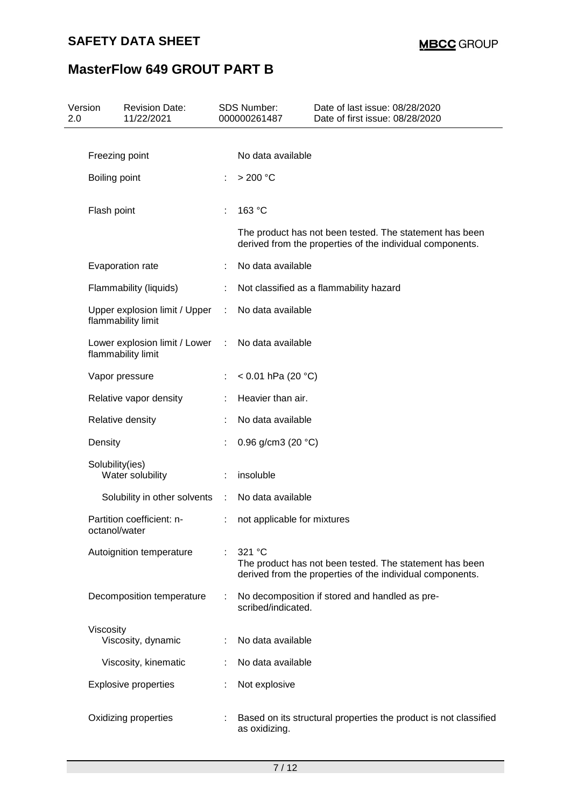# **SAFETY DATA SHEET**

# **MasterFlow 649 GROUT PART B**

| 2.0 | Version<br><b>Revision Date:</b><br>11/22/2021      |             | SDS Number:<br>000000261487  | Date of last issue: 08/28/2020<br>Date of first issue: 08/28/2020                                                    |
|-----|-----------------------------------------------------|-------------|------------------------------|----------------------------------------------------------------------------------------------------------------------|
|     |                                                     |             |                              |                                                                                                                      |
|     | Freezing point                                      |             | No data available            |                                                                                                                      |
|     | Boiling point                                       |             | >200 °C                      |                                                                                                                      |
|     | Flash point                                         |             | 163 °C                       |                                                                                                                      |
|     |                                                     |             |                              | The product has not been tested. The statement has been<br>derived from the properties of the individual components. |
|     | Evaporation rate                                    |             | No data available            |                                                                                                                      |
|     | Flammability (liquids)                              |             |                              | Not classified as a flammability hazard                                                                              |
|     | Upper explosion limit / Upper<br>flammability limit | ÷           | No data available            |                                                                                                                      |
|     | Lower explosion limit / Lower<br>flammability limit | ÷           | No data available            |                                                                                                                      |
|     | Vapor pressure                                      |             | < 0.01 hPa (20 $^{\circ}$ C) |                                                                                                                      |
|     | Relative vapor density                              |             | Heavier than air.            |                                                                                                                      |
|     | Relative density                                    |             | No data available            |                                                                                                                      |
|     | Density                                             |             | 0.96 g/cm3 (20 $°C$ )        |                                                                                                                      |
|     | Solubility(ies)<br>Water solubility                 |             | insoluble                    |                                                                                                                      |
|     | Solubility in other solvents                        | $\sim 10^7$ | No data available            |                                                                                                                      |
|     | Partition coefficient: n-<br>octanol/water          |             | not applicable for mixtures  |                                                                                                                      |
|     | Autoignition temperature                            |             | 321 °C                       | The product has not been tested. The statement has been<br>derived from the properties of the individual components. |
|     | Decomposition temperature                           |             | scribed/indicated.           | No decomposition if stored and handled as pre-                                                                       |
|     | Viscosity                                           |             |                              |                                                                                                                      |
|     | Viscosity, dynamic                                  |             | No data available            |                                                                                                                      |
|     | Viscosity, kinematic                                |             | No data available            |                                                                                                                      |
|     | <b>Explosive properties</b>                         |             | Not explosive                |                                                                                                                      |
|     | Oxidizing properties                                |             | as oxidizing.                | Based on its structural properties the product is not classified                                                     |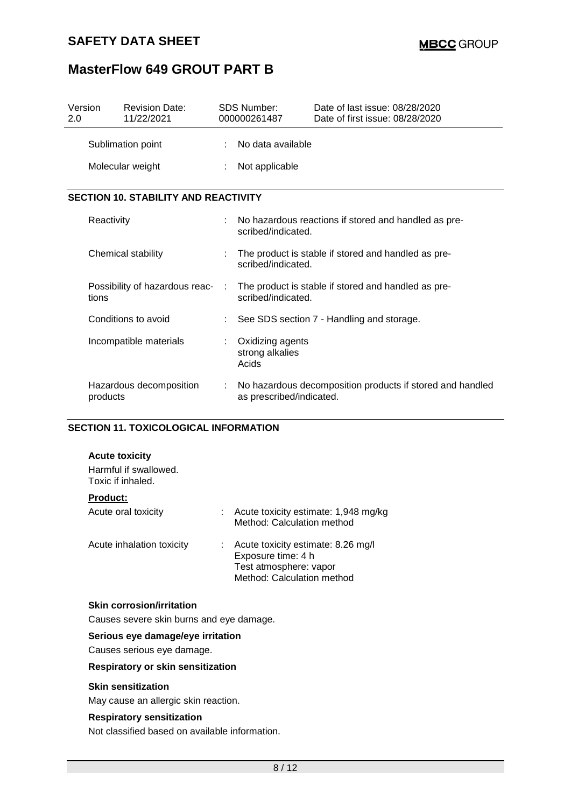### **SAFETY DATA SHEET**

# **MasterFlow 649 GROUT PART B**

| Version<br>2.0                              |            | <b>Revision Date:</b><br>11/22/2021 |   | <b>SDS Number:</b><br>000000261487                                        | Date of last issue: 08/28/2020<br>Date of first issue: 08/28/2020 |  |
|---------------------------------------------|------------|-------------------------------------|---|---------------------------------------------------------------------------|-------------------------------------------------------------------|--|
|                                             |            | Sublimation point                   |   | No data available                                                         |                                                                   |  |
|                                             |            | Molecular weight                    |   | Not applicable                                                            |                                                                   |  |
| <b>SECTION 10. STABILITY AND REACTIVITY</b> |            |                                     |   |                                                                           |                                                                   |  |
|                                             | Reactivity |                                     |   | scribed/indicated.                                                        | No hazardous reactions if stored and handled as pre-              |  |
|                                             |            | Chemical stability                  |   | The product is stable if stored and handled as pre-<br>scribed/indicated. |                                                                   |  |
|                                             | tions      | Possibility of hazardous reac-      |   | scribed/indicated.                                                        | The product is stable if stored and handled as pre-               |  |
|                                             |            | Conditions to avoid                 |   |                                                                           | See SDS section 7 - Handling and storage.                         |  |
|                                             |            | Incompatible materials              | ÷ | Oxidizing agents<br>strong alkalies<br>Acids                              |                                                                   |  |
|                                             | products   | Hazardous decomposition             |   | as prescribed/indicated.                                                  | No hazardous decomposition products if stored and handled         |  |

#### **SECTION 11. TOXICOLOGICAL INFORMATION**

#### **Acute toxicity**

Harmful if swallowed. Toxic if inhaled.

#### **Product:**

| Acute oral toxicity       | Acute toxicity estimate: 1,948 mg/kg<br>Method: Calculation method                                               |
|---------------------------|------------------------------------------------------------------------------------------------------------------|
| Acute inhalation toxicity | Acute toxicity estimate: 8.26 mg/l<br>Exposure time: 4 h<br>Test atmosphere: vapor<br>Method: Calculation method |

#### **Skin corrosion/irritation**

Causes severe skin burns and eye damage.

#### **Serious eye damage/eye irritation**

Causes serious eye damage.

### **Respiratory or skin sensitization**

#### **Skin sensitization**

May cause an allergic skin reaction.

#### **Respiratory sensitization**

Not classified based on available information.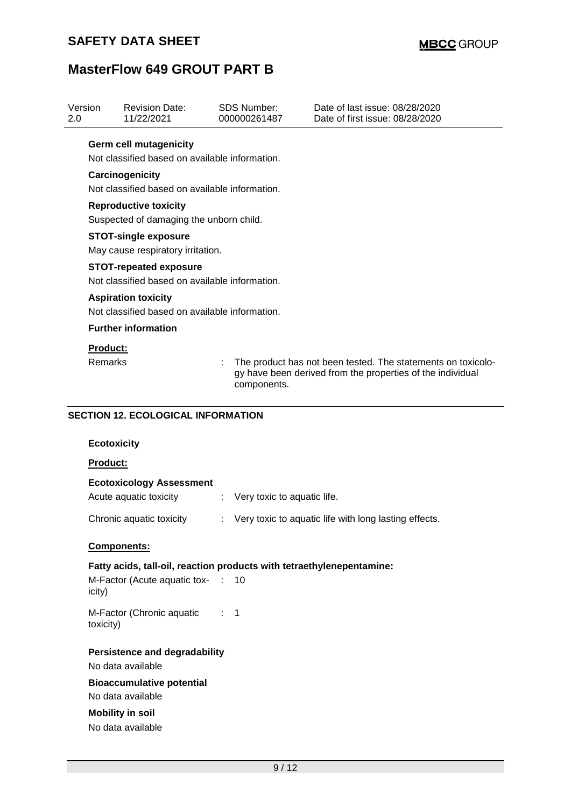| Version<br>2.0 |                                                                                                                                                                         | <b>Revision Date:</b><br>11/22/2021                                                                        |   | <b>SDS Number:</b><br>000000261487 | Date of last issue: 08/28/2020<br>Date of first issue: 08/28/2020 |  |  |  |  |  |
|----------------|-------------------------------------------------------------------------------------------------------------------------------------------------------------------------|------------------------------------------------------------------------------------------------------------|---|------------------------------------|-------------------------------------------------------------------|--|--|--|--|--|
|                |                                                                                                                                                                         | <b>Germ cell mutagenicity</b><br>Not classified based on available information.                            |   |                                    |                                                                   |  |  |  |  |  |
|                | Carcinogenicity<br>Not classified based on available information.                                                                                                       |                                                                                                            |   |                                    |                                                                   |  |  |  |  |  |
|                |                                                                                                                                                                         | <b>Reproductive toxicity</b><br>Suspected of damaging the unborn child.                                    |   |                                    |                                                                   |  |  |  |  |  |
|                |                                                                                                                                                                         | <b>STOT-single exposure</b><br>May cause respiratory irritation.                                           |   |                                    |                                                                   |  |  |  |  |  |
|                |                                                                                                                                                                         | <b>STOT-repeated exposure</b><br>Not classified based on available information.                            |   |                                    |                                                                   |  |  |  |  |  |
|                |                                                                                                                                                                         | <b>Aspiration toxicity</b><br>Not classified based on available information.                               |   |                                    |                                                                   |  |  |  |  |  |
|                |                                                                                                                                                                         | <b>Further information</b>                                                                                 |   |                                    |                                                                   |  |  |  |  |  |
|                | <b>Product:</b><br>Remarks<br>The product has not been tested. The statements on toxicolo-<br>gy have been derived from the properties of the individual<br>components. |                                                                                                            |   |                                    |                                                                   |  |  |  |  |  |
|                |                                                                                                                                                                         | <b>SECTION 12. ECOLOGICAL INFORMATION</b>                                                                  |   |                                    |                                                                   |  |  |  |  |  |
|                | <b>Ecotoxicity</b>                                                                                                                                                      |                                                                                                            |   |                                    |                                                                   |  |  |  |  |  |
|                | Product:                                                                                                                                                                |                                                                                                            |   |                                    |                                                                   |  |  |  |  |  |
|                |                                                                                                                                                                         | <b>Ecotoxicology Assessment</b><br>Acute aquatic toxicity                                                  | ÷ | Very toxic to aquatic life.        |                                                                   |  |  |  |  |  |
|                | Chronic aquatic toxicity                                                                                                                                                | Very toxic to aquatic life with long lasting effects                                                       |   |                                    |                                                                   |  |  |  |  |  |
|                |                                                                                                                                                                         | Components:                                                                                                |   |                                    |                                                                   |  |  |  |  |  |
|                | icity)                                                                                                                                                                  | Fatty acids, tall-oil, reaction products with tetraethylenepentamine:<br>M-Factor (Acute aquatic tox- : 10 |   |                                    |                                                                   |  |  |  |  |  |
|                | toxicity)                                                                                                                                                               | M-Factor (Chronic aquatic : 1                                                                              |   |                                    |                                                                   |  |  |  |  |  |

**Persistence and degradability**

No data available

**Bioaccumulative potential** No data available

**Mobility in soil** No data available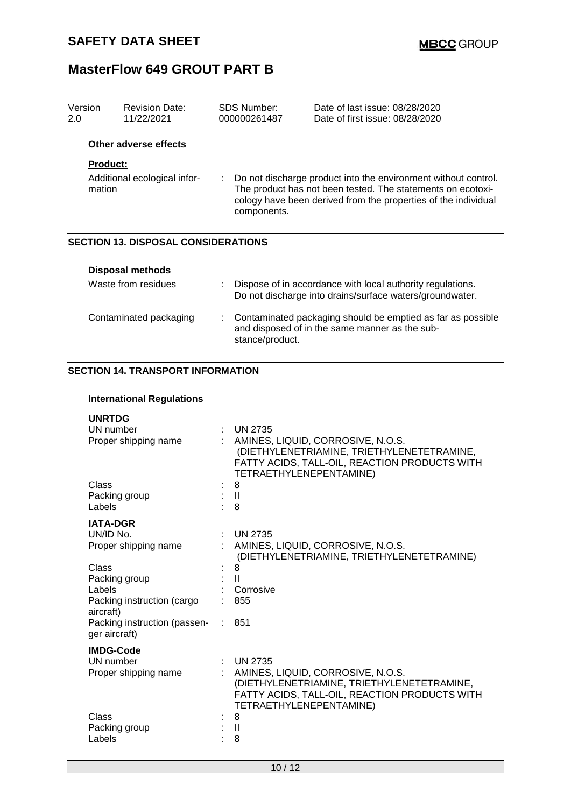| Version<br>2.0                                                                                                                                                                                                                                                 | <b>Revision Date:</b><br>11/22/2021        |  | SDS Number:<br>000000261487 | Date of last issue: 08/28/2020<br>Date of first issue: 08/28/2020                                                      |
|----------------------------------------------------------------------------------------------------------------------------------------------------------------------------------------------------------------------------------------------------------------|--------------------------------------------|--|-----------------------------|------------------------------------------------------------------------------------------------------------------------|
|                                                                                                                                                                                                                                                                | Other adverse effects                      |  |                             |                                                                                                                        |
|                                                                                                                                                                                                                                                                | <b>Product:</b>                            |  |                             |                                                                                                                        |
| Additional ecological infor-<br>Do not discharge product into the environment without control.<br>÷.<br>The product has not been tested. The statements on ecotoxi-<br>mation<br>cology have been derived from the properties of the individual<br>components. |                                            |  |                             |                                                                                                                        |
|                                                                                                                                                                                                                                                                | <b>SECTION 13. DISPOSAL CONSIDERATIONS</b> |  |                             |                                                                                                                        |
|                                                                                                                                                                                                                                                                | <b>Disposal methods</b>                    |  |                             |                                                                                                                        |
|                                                                                                                                                                                                                                                                | Waste from residues                        |  |                             | Dispose of in accordance with local authority regulations.<br>Do not discharge into drains/surface waters/groundwater. |
|                                                                                                                                                                                                                                                                | Contaminated packaging                     |  | stance/product.             | Contaminated packaging should be emptied as far as possible<br>and disposed of in the same manner as the sub-          |

### **SECTION 14. TRANSPORT INFORMATION**

### **International Regulations**

| <b>UNRTDG</b>                                 |   |                                                                                                                                                             |
|-----------------------------------------------|---|-------------------------------------------------------------------------------------------------------------------------------------------------------------|
| UN number                                     |   | <b>UN 2735</b>                                                                                                                                              |
| Proper shipping name                          |   | AMINES, LIQUID, CORROSIVE, N.O.S.<br>(DIETHYLENETRIAMINE, TRIETHYLENETETRAMINE,<br>FATTY ACIDS, TALL-OIL, REACTION PRODUCTS WITH<br>TETRAETHYLENEPENTAMINE) |
| Class                                         |   | 8                                                                                                                                                           |
| Packing group                                 |   | : II                                                                                                                                                        |
| Labels                                        |   | 8                                                                                                                                                           |
| <b>IATA-DGR</b>                               |   |                                                                                                                                                             |
| UN/ID No.                                     |   | <b>UN 2735</b>                                                                                                                                              |
| Proper shipping name                          |   | AMINES, LIQUID, CORROSIVE, N.O.S.<br>(DIETHYLENETRIAMINE, TRIETHYLENETETRAMINE)                                                                             |
| Class                                         |   | 8                                                                                                                                                           |
| Packing group                                 |   | $\mathbf{H}$                                                                                                                                                |
| Labels                                        |   | Corrosive                                                                                                                                                   |
| Packing instruction (cargo<br>aircraft)       |   | 855                                                                                                                                                         |
| Packing instruction (passen-<br>ger aircraft) |   | 851                                                                                                                                                         |
| <b>IMDG-Code</b>                              |   |                                                                                                                                                             |
| UN number                                     | ÷ | <b>UN 2735</b>                                                                                                                                              |
| Proper shipping name                          |   | AMINES, LIQUID, CORROSIVE, N.O.S.<br>(DIETHYLENETRIAMINE, TRIETHYLENETETRAMINE,<br>FATTY ACIDS, TALL-OIL, REACTION PRODUCTS WITH<br>TETRAETHYLENEPENTAMINE) |
| Class                                         |   | 8                                                                                                                                                           |
| Packing group                                 |   | Ш                                                                                                                                                           |
| Labels                                        |   | 8                                                                                                                                                           |
|                                               |   |                                                                                                                                                             |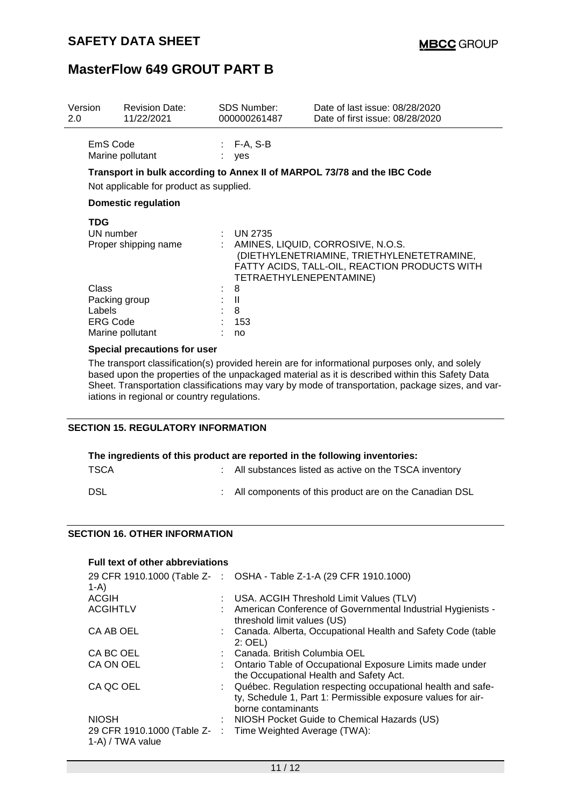| Version<br>2.0 | <b>Revision Date:</b><br>11/22/2021     | <b>SDS Number:</b><br>000000261487 | Date of last issue: 08/28/2020<br>Date of first issue: 08/28/2020                                                                |
|----------------|-----------------------------------------|------------------------------------|----------------------------------------------------------------------------------------------------------------------------------|
|                | EmS Code<br>Marine pollutant            | $: F-A, S-B$<br>yes                |                                                                                                                                  |
|                |                                         |                                    | Transport in bulk according to Annex II of MARPOL 73/78 and the IBC Code                                                         |
|                | Not applicable for product as supplied. |                                    |                                                                                                                                  |
|                | <b>Domestic regulation</b>              |                                    |                                                                                                                                  |
| <b>TDG</b>     |                                         |                                    |                                                                                                                                  |
|                | UN number                               | <b>UN 2735</b>                     |                                                                                                                                  |
|                | Proper shipping name                    | TETRAETHYLENEPENTAMINE)            | AMINES, LIQUID, CORROSIVE, N.O.S.<br>(DIETHYLENETRIAMINE, TRIETHYLENETETRAMINE,<br>FATTY ACIDS, TALL-OIL, REACTION PRODUCTS WITH |
| Class          |                                         | 8                                  |                                                                                                                                  |
|                | Packing group                           | $\mathbf{I}$                       |                                                                                                                                  |
| Labels         |                                         | 8                                  |                                                                                                                                  |
|                | ERG Code                                | 153                                |                                                                                                                                  |
|                | Marine pollutant                        | no                                 |                                                                                                                                  |
|                | Special precautions for user            |                                    |                                                                                                                                  |

The transport classification(s) provided herein are for informational purposes only, and solely based upon the properties of the unpackaged material as it is described within this Safety Data Sheet. Transportation classifications may vary by mode of transportation, package sizes, and variations in regional or country regulations.

#### **SECTION 15. REGULATORY INFORMATION**

| The ingredients of this product are reported in the following inventories: |  |                                                          |  |  |  |
|----------------------------------------------------------------------------|--|----------------------------------------------------------|--|--|--|
| <b>TSCA</b>                                                                |  | : All substances listed as active on the TSCA inventory  |  |  |  |
| DSL                                                                        |  | : All components of this product are on the Canadian DSL |  |  |  |

#### **SECTION 16. OTHER INFORMATION**

| <b>Full text of other abbreviations</b> |  |                                                                                                                                                     |  |  |  |  |
|-----------------------------------------|--|-----------------------------------------------------------------------------------------------------------------------------------------------------|--|--|--|--|
| $1-A$                                   |  | 29 CFR 1910.1000 (Table Z- : OSHA - Table Z-1-A (29 CFR 1910.1000)                                                                                  |  |  |  |  |
| <b>ACGIH</b>                            |  | : USA. ACGIH Threshold Limit Values (TLV)                                                                                                           |  |  |  |  |
| <b>ACGIHTLV</b>                         |  | : American Conference of Governmental Industrial Hygienists -<br>threshold limit values (US)                                                        |  |  |  |  |
| CA AB OEL                               |  | : Canada. Alberta, Occupational Health and Safety Code (table<br>$2:$ OEL)                                                                          |  |  |  |  |
| CA BC OEL                               |  | : Canada. British Columbia OEL                                                                                                                      |  |  |  |  |
| CA ON OEL                               |  | Ontario Table of Occupational Exposure Limits made under<br>the Occupational Health and Safety Act.                                                 |  |  |  |  |
| CA QC OEL                               |  | : Québec. Regulation respecting occupational health and safe-<br>ty, Schedule 1, Part 1: Permissible exposure values for air-<br>borne contaminants |  |  |  |  |
| <b>NIOSH</b>                            |  | : NIOSH Pocket Guide to Chemical Hazards (US)                                                                                                       |  |  |  |  |
| 1-A) / TWA value                        |  | 29 CFR 1910.1000 (Table Z- : Time Weighted Average (TWA):                                                                                           |  |  |  |  |